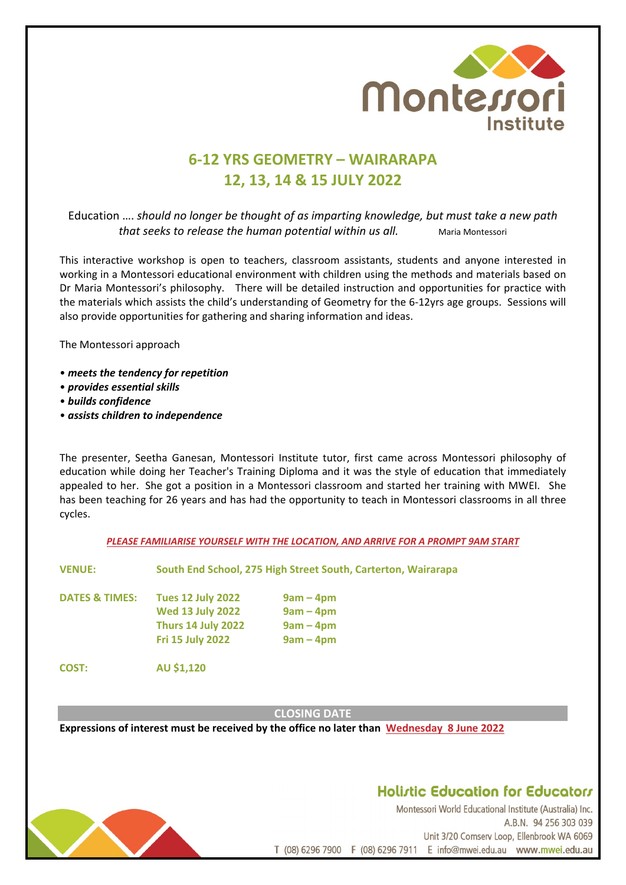

# **6-12 YRS GEOMETRY – WAIRARAPA 12, 13, 14 & 15 JULY 2022**

Education …. *should no longer be thought of as imparting knowledge, but must take a new path that seeks to release the human potential within us all.* Maria Montessori

This interactive workshop is open to teachers, classroom assistants, students and anyone interested in working in a Montessori educational environment with children using the methods and materials based on Dr Maria Montessori's philosophy. There will be detailed instruction and opportunities for practice with the materials which assists the child's understanding of Geometry for the 6-12yrs age groups. Sessions will also provide opportunities for gathering and sharing information and ideas.

The Montessori approach

- *meets the tendency for repetition*
- *provides essential skills*
- *builds confidence*
- *assists children to independence*

The presenter, Seetha Ganesan, Montessori Institute tutor, first came across Montessori philosophy of education while doing her Teacher's Training Diploma and it was the style of education that immediately appealed to her. She got a position in a Montessori classroom and started her training with MWEI. She has been teaching for 26 years and has had the opportunity to teach in Montessori classrooms in all three cycles.

*PLEASE FAMILIARISE YOURSELF WITH THE LOCATION, AND ARRIVE FOR A PROMPT 9AM START*

**VENUE: South End School, 275 High Street South, Carterton, Wairarapa**

**DATES & TIMES: Tues 12 July 2022 9am – 4pm Wed 13 July 2022 9am – 4pm Thurs 14 July 2022 9am – 4pm Fri 15 July 2022 9am – 4pm**

**COST: AU \$1,120**

**CLOSING DATE**

**Expressions of interest must be received by the office no later than Wednesday 8 June 2022**



## **Holistic Education for Educators**

Montessori World Educational Institute (Australia) Inc. A.B.N. 94 256 303 039 Unit 3/20 Comserv Loop, Ellenbrook WA 6069 T (08) 6296 7900 F (08) 6296 7911 E info@mwei.edu.au www.mwei.edu.au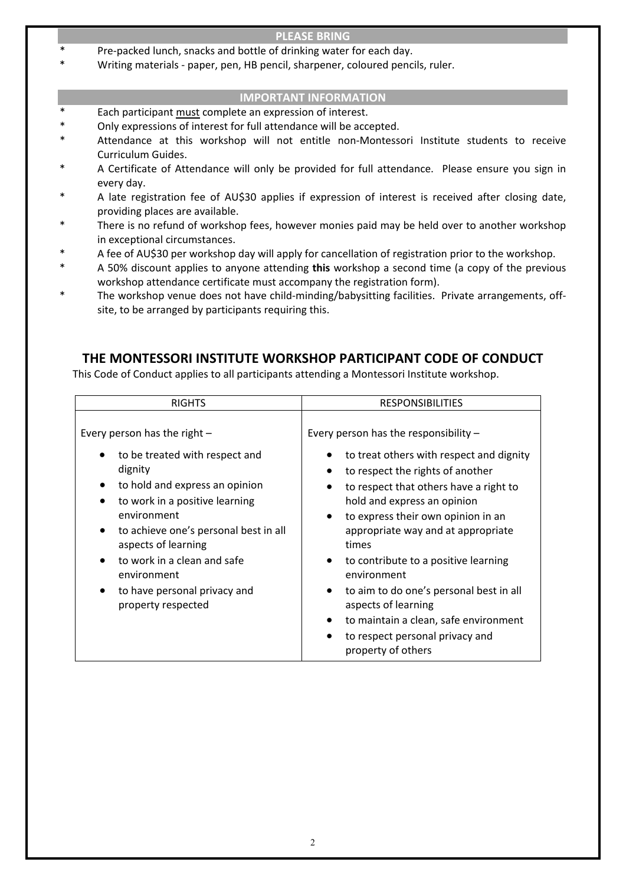#### **PLEASE BRING**

- Pre-packed lunch, snacks and bottle of drinking water for each day.
- \* Writing materials paper, pen, HB pencil, sharpener, coloured pencils, ruler.

#### **IMPORTANT INFORMATION**

- Each participant must complete an expression of interest.
- Only expressions of interest for full attendance will be accepted.
- Attendance at this workshop will not entitle non-Montessori Institute students to receive Curriculum Guides.
- A Certificate of Attendance will only be provided for full attendance. Please ensure you sign in every day.
- A late registration fee of AU\$30 applies if expression of interest is received after closing date, providing places are available.
- \* There is no refund of workshop fees, however monies paid may be held over to another workshop in exceptional circumstances.
- A fee of AU\$30 per workshop day will apply for cancellation of registration prior to the workshop.
- \* A 50% discount applies to anyone attending **this** workshop a second time (a copy of the previous workshop attendance certificate must accompany the registration form).
- \* The workshop venue does not have child-minding/babysitting facilities. Private arrangements, offsite, to be arranged by participants requiring this.

## **THE MONTESSORI INSTITUTE WORKSHOP PARTICIPANT CODE OF CONDUCT**

This Code of Conduct applies to all participants attending a Montessori Institute workshop.

| <b>RIGHTS</b>                                                                                                                                                                                                                                                                                                                                                | <b>RESPONSIBILITIES</b>                                                                                                                                                                                                                                                                                                                                                                                                     |  |  |
|--------------------------------------------------------------------------------------------------------------------------------------------------------------------------------------------------------------------------------------------------------------------------------------------------------------------------------------------------------------|-----------------------------------------------------------------------------------------------------------------------------------------------------------------------------------------------------------------------------------------------------------------------------------------------------------------------------------------------------------------------------------------------------------------------------|--|--|
| Every person has the right $-$<br>to be treated with respect and<br>dignity<br>to hold and express an opinion<br>to work in a positive learning<br>environment<br>to achieve one's personal best in all<br>aspects of learning<br>to work in a clean and safe<br>$\bullet$<br>environment<br>to have personal privacy and<br>$\bullet$<br>property respected | Every person has the responsibility $-$<br>to treat others with respect and dignity<br>to respect the rights of another<br>to respect that others have a right to<br>hold and express an opinion<br>to express their own opinion in an<br>appropriate way and at appropriate<br>times<br>to contribute to a positive learning<br>$\bullet$<br>environment<br>to aim to do one's personal best in all<br>aspects of learning |  |  |
|                                                                                                                                                                                                                                                                                                                                                              | to maintain a clean, safe environment<br>to respect personal privacy and<br>property of others                                                                                                                                                                                                                                                                                                                              |  |  |